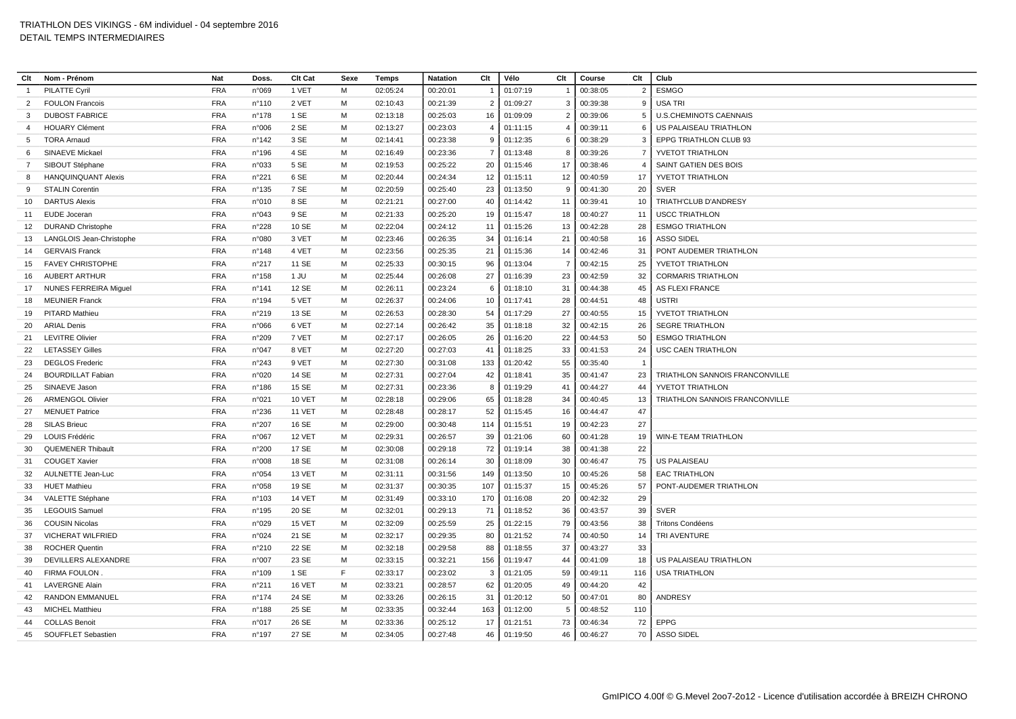| Clt            | Nom - Prénom                                     | <b>Nat</b>               | Doss.           | Clt Cat        | Sexe | Temps                | <b>Natation</b> | Clt            | Vélo     | Clt            | Course      | Clt            | Club                           |
|----------------|--------------------------------------------------|--------------------------|-----------------|----------------|------|----------------------|-----------------|----------------|----------|----------------|-------------|----------------|--------------------------------|
| $\mathbf{1}$   | <b>PILATTE Cyril</b>                             | <b>FRA</b>               | n°069           | 1 VET          | M    | 02:05:24             | 00:20:01        |                | 01:07:19 |                | 00:38:05    | $\overline{2}$ | <b>ESMGO</b>                   |
| 2              | <b>FOULON Francois</b>                           | <b>FRA</b>               | $n^{\circ}110$  | 2 VET          | M    | 02:10:43             | 00:21:39        | $\overline{2}$ | 01:09:27 | 3              | 00:39:38    | -9             | <b>USA TRI</b>                 |
| 3              | <b>DUBOST FABRICE</b>                            | <b>FRA</b>               | $n^{\circ}$ 178 | 1 SE           | м    | 02:13:18             | 00:25:03        | 16             | 01:09:09 | $\overline{2}$ | 00:39:06    | -5             | <b>U.S.CHEMINOTS CAENNAIS</b>  |
| $\overline{a}$ | <b>HOUARY Clément</b>                            | <b>FRA</b>               | n°006           | 2 SE           | M    | 02:13:27             | 00:23:03        | 4              | 01:11:15 | $\overline{4}$ | 00:39:11    | -6             | US PALAISEAU TRIATHLON         |
| 5              | <b>TORA Arnaud</b>                               | <b>FRA</b>               | n°142           | 3 SE           | м    | 02:14:41             | 00:23:38        | 9              | 01:12:35 | 6              | 00:38:29    | 3              | EPPG TRIATHLON CLUB 93         |
| 6              | SINAEVE Mickael                                  | <b>FRA</b>               | $n^{\circ}$ 196 | 4 SE           | м    | 02:16:49             | 00:23:36        | $\overline{7}$ | 01:13:48 | 8              | 00:39:26    | $\overline{7}$ | <b>YVETOT TRIATHLON</b>        |
| $\overline{7}$ | SIBOUT Stéphane                                  | <b>FRA</b>               | n°033           | 5 SE           | M    | 02:19:53             | 00:25:22        | 20             | 01:15:46 | 17             | 00:38:46    | $\overline{4}$ | SAINT GATIEN DES BOIS          |
| 8              | <b>HANQUINQUANT Alexis</b>                       | <b>FRA</b>               | n°221           | 6 SE           | M    | 02:20:44             | 00:24:34        | 12             | 01:15:11 | 12             | 00:40:59    | 17             | YVETOT TRIATHLON               |
| 9              | <b>STALIN Corentin</b>                           | <b>FRA</b>               | $n^{\circ}$ 135 | 7 SE           | M    | 02:20:59             | 00:25:40        | 23             | 01:13:50 | 9              | 00:41:30    | 20             | <b>SVER</b>                    |
| 10             | <b>DARTUS Alexis</b>                             | <b>FRA</b>               | n°010           | 8 SE           | м    | 02:21:21             | 00:27:00        | 40             | 01:14:42 | 11             | 00:39:41    | 10             | TRIATH'CLUB D'ANDRESY          |
| 11             | EUDE Joceran                                     | <b>FRA</b>               | n°043           | 9 SE           | M    | 02:21:33             | 00:25:20        | 19             | 01:15:47 | 18             | 00:40:27    | 11             | <b>USCC TRIATHLON</b>          |
| 12             | <b>DURAND Christophe</b>                         | <b>FRA</b>               | n°228           | 10 SE          | м    | 02:22:04             | 00:24:12        | 11             | 01:15:26 | 13             | 00:42:28    | 28             | <b>ESMGO TRIATHLON</b>         |
| 13             | LANGLOIS Jean-Christophe                         | <b>FRA</b>               | n°080           | 3 VET          | M    | 02:23:46             | 00:26:35        | 34             | 01:16:14 | 21             | 00:40:58    | 16             | <b>ASSO SIDEL</b>              |
| 14             | <b>GERVAIS Franck</b>                            | <b>FRA</b>               | n°148           | 4 VET          | м    | 02:23:56             | 00:25:35        | 21             | 01:15:36 | 14             | 00:42:46    | 31             | PONT AUDEMER TRIATHLON         |
| 15             | <b>FAVEY CHRISTOPHE</b>                          | <b>FRA</b>               | n°217           | 11 SE          | м    | 02:25:33             | 00:30:15        | 96             | 01:13:04 | $\overline{7}$ | 00:42:15    | 25             | YVETOT TRIATHLON               |
| 16             | <b>AUBERT ARTHUR</b>                             | <b>FRA</b>               | $n^{\circ}$ 158 | 1 JU           | M    | 02:25:44             | 00:26:08        | 27             | 01:16:39 | 23             | 00:42:59    | 32             | <b>CORMARIS TRIATHLON</b>      |
| 17             | <b>NUNES FERREIRA Miquel</b>                     | <b>FRA</b>               | $n^{\circ}$ 141 | 12 SE          | M    | 02:26:11             | 00:23:24        | 6              | 01:18:10 | 31             | 00:44:38    | 45             | <b>AS FLEXI FRANCE</b>         |
| 18             | <b>MEUNIER Franck</b>                            | <b>FRA</b>               | n°194           | 5 VET          | M    | 02:26:37             | 00:24:06        | 10             | 01:17:41 | 28             | 00:44:51    | 48             | <b>USTRI</b>                   |
| 19             | <b>PITARD Mathieu</b>                            | <b>FRA</b>               | n°219           | 13 SE          | M    | 02:26:53             | 00:28:30        | 54             | 01:17:29 | 27             | 00:40:55    | 15             | YVETOT TRIATHLON               |
| 20             | <b>ARIAL Denis</b>                               | <b>FRA</b>               | n°066           | 6 VET          | м    | 02:27:14             | 00:26:42        | 35             | 01:18:18 | 32             | 00:42:15    | 26             | <b>SEGRE TRIATHLON</b>         |
| 21             | <b>LEVITRE Olivier</b>                           | <b>FRA</b>               | n°209           | 7 VET          | м    | 02:27:17             | 00:26:05        | 26             | 01:16:20 | 22             | 00:44:53    | 50             | <b>ESMGO TRIATHLON</b>         |
| 22             | <b>LETASSEY Gilles</b>                           | <b>FRA</b>               | n°047           | 8 VET          | M    | 02:27:20             | 00:27:03        | 41             | 01:18:25 | 33             | 00:41:53    | 24             | <b>USC CAEN TRIATHLON</b>      |
| 23             | <b>DEGLOS Frederic</b>                           | <b>FRA</b>               | n°243           | 9 VET          | м    | 02:27:30             | 00:31:08        | 133            | 01:20:42 | 55             | 00:35:40    | $\overline{1}$ |                                |
| 24             | <b>BOURDILLAT Fabiar</b>                         | <b>FRA</b>               | n°020           | 14 SE          | M    | 02:27:31             | 00:27:04        | 42             | 01:18:41 | 35             | 00:41:47    | 23             | TRIATHLON SANNOIS FRANCONVILLE |
| 25             | SINAEVE Jason                                    | <b>FRA</b>               | $n^{\circ}$ 186 | 15 SE          | M    | 02:27:31             | 00:23:36        | 8              | 01:19:29 | 41             | 00:44:27    | 44             | YVETOT TRIATHLON               |
| 26             | <b>ARMENGOL Olivier</b>                          | <b>FRA</b>               | n°021           | <b>10 VET</b>  | M    | 02:28:18             | 00:29:06        | 65             | 01:18:28 | 34             | 00:40:45    | 13             | TRIATHLON SANNOIS FRANCONVILLE |
| 27             | <b>MENUET Patrice</b>                            | <b>FRA</b>               | n°236           | <b>11 VET</b>  | м    | 02:28:48             | 00:28:17        | 52             | 01:15:45 | 16             | 00:44:47    | 47             |                                |
| 28             | <b>SILAS Brieuc</b>                              | <b>FRA</b>               | n°207           | 16 SE          | M    | 02:29:00             | 00:30:48        | 114            |          | 19             | 00:42:23    | 27             |                                |
|                | LOUIS Frédéric                                   | <b>FRA</b>               | n°067           | 12 VET         | м    |                      | 00:26:57        |                | 01:15:51 |                |             | 19             | <b>WIN-E TEAM TRIATHLON</b>    |
| 29             |                                                  |                          |                 |                | M    | 02:29:31             |                 | 39             | 01:21:06 | 60             | 00:41:28    |                |                                |
| 30             | <b>QUEMENER Thibault</b><br><b>COUGET Xavier</b> | <b>FRA</b><br><b>FRA</b> | n°200<br>n°008  | 17 SE<br>18 SE |      | 02:30:08<br>02:31:08 | 00:29:18        | 72             | 01:19:14 | 38             | 00:41:38    | 22             |                                |
| 31             |                                                  |                          |                 |                | м    |                      | 00:26:14        | 30             | 01:18:09 | 30             | 00:46:47    | 75             | <b>US PALAISEAU</b>            |
| 32             | AULNETTE Jean-Luc                                | <b>FRA</b>               | n°054           | 13 VET         | м    | 02:31:11             | 00:31:56        | 149            | 01:13:50 | 10             | 00:45:26    | 58             | <b>EAC TRIATHLON</b>           |
| 33             | <b>HUET Mathieu</b>                              | <b>FRA</b>               | n°058           | 19 SE          | M    | 02:31:37             | 00:30:35        | 107            | 01:15:37 | 15             | 00:45:26    | 57             | PONT-AUDEMER TRIATHLON         |
| 34             | VALETTE Stéphane                                 | <b>FRA</b>               | n°103           | <b>14 VET</b>  | м    | 02:31:49             | 00:33:10        | 170            | 01:16:08 | 20             | 00:42:32    | 29             |                                |
| 35             | <b>LEGOUIS Samuel</b>                            | <b>FRA</b>               | n°195           | 20 SE          | M    | 02:32:01             | 00:29:13        | 71             | 01:18:52 | 36             | 00:43:57    | 39             | <b>SVER</b>                    |
| 36             | <b>COUSIN Nicolas</b>                            | <b>FRA</b>               | n°029           | 15 VET         | м    | 02:32:09             | 00:25:59        | 25             | 01:22:15 | 79             | 00:43:56    | 38             | <b>Tritons Condéens</b>        |
| -37            | <b>VICHERAT WILFRIED</b>                         | <b>FRA</b>               | n°024           | 21 SE          | M    | 02:32:17             | 00:29:35        | 80             | 01:21:52 | 74             | 00:40:50    | 14             | TRI AVENTURE                   |
| 38             | <b>ROCHER Quentin</b>                            | <b>FRA</b>               | n°210           | 22 SE          | м    | 02:32:18             | 00:29:58        | 88             | 01:18:55 | 37             | 00:43:27    | 33             |                                |
| 39             | <b>DEVILLERS ALEXANDRE</b>                       | <b>FRA</b>               | n°007           | 23 SE          | M    | 02:33:15             | 00:32:21        | 156            | 01:19:47 | 44             | 00:41:09    | 18             | US PALAISEAU TRIATHLON         |
| 40             | <b>FIRMA FOULON</b>                              | <b>FRA</b>               | n°109           | 1 SE           | F    | 02:33:17             | 00:23:02        | 3              | 01:21:05 | 59             | 00:49:11    | 116            | <b>USA TRIATHLON</b>           |
| 41             | <b>LAVERGNE Alain</b>                            | <b>FRA</b>               | n°211           | 16 VET         | M    | 02:33:21             | 00:28:57        | 62             | 01:20:05 | 49             | 00:44:20    | 42             |                                |
| 42             | <b>RANDON EMMANUEL</b>                           | <b>FRA</b>               | $n^{\circ}$ 174 | 24 SE          | м    | 02:33:26             | 00:26:15        | 31             | 01:20:12 | 50             | 00:47:01    | 80             | <b>ANDRESY</b>                 |
| 43             | <b>MICHEL Matthieu</b>                           | <b>FRA</b>               | n°188           | 25 SE          | м    | 02:33:35             | 00:32:44        | 163            | 01:12:00 | -5             | 00:48:52    | 110            |                                |
| 44             | <b>COLLAS Benoit</b>                             | <b>FRA</b>               | n°017           | 26 SE          | M    | 02:33:36             | 00:25:12        | 17             | 01:21:51 | 73             | 00:46:34    | 72             | <b>EPPG</b>                    |
| 45             | SOUFFLET Sebastien                               | <b>FRA</b>               | n°197           | 27 SE          | M    | 02:34:05             | 00:27:48        | 46             | 01:19:50 |                | 46 00:46:27 | 70             | ASSO SIDEL                     |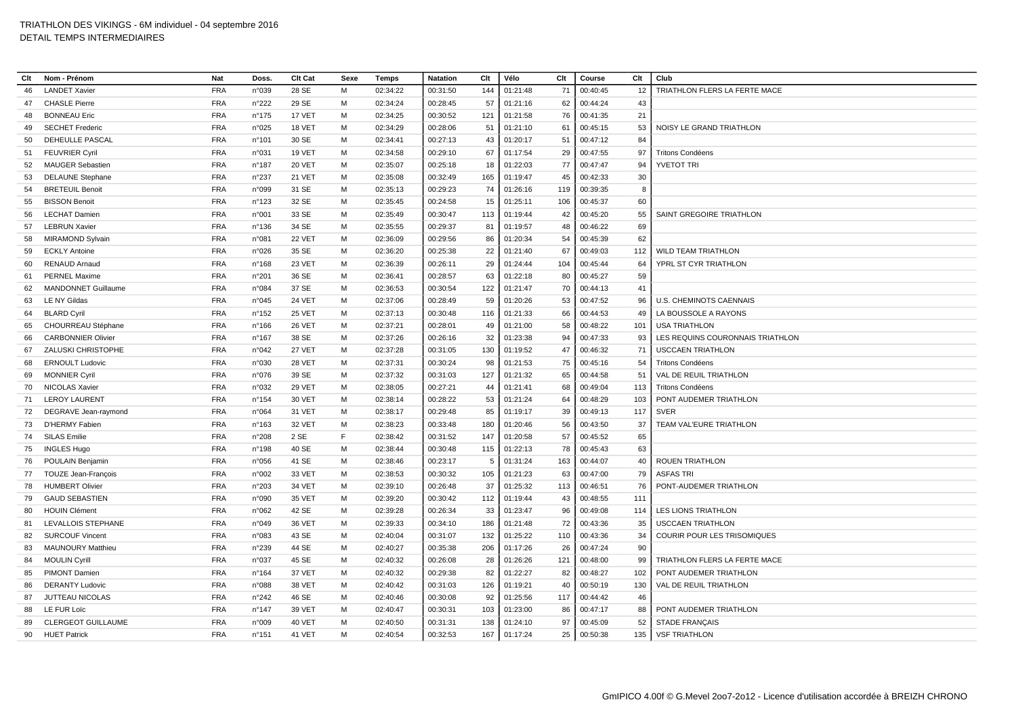| Clt      | Nom - Prénom               | <b>Nat</b> | Doss.           | Clt Cat       | Sexe | Temps    | <b>Natation</b> | Clt       | Vélo                 | Clt | Course               | Clt       | Club                               |
|----------|----------------------------|------------|-----------------|---------------|------|----------|-----------------|-----------|----------------------|-----|----------------------|-----------|------------------------------------|
| 46       | <b>LANDET Xavier</b>       | <b>FRA</b> | n°039           | 28 SE         | M    | 02:34:22 | 00:31:50        | 144       | 01:21:48             | 71  | 00:40:45             | 12        | TRIATHLON FLERS LA FERTE MACE      |
| 47       | <b>CHASLE Pierre</b>       | <b>FRA</b> | n°222           | 29 SE         | M    | 02:34:24 | 00:28:45        | 57        | 01:21:16             | 62  | 00:44:24             | 43        |                                    |
| 48       | <b>BONNEAU Eric</b>        | <b>FRA</b> | $n^{\circ}$ 175 | 17 VET        | м    | 02:34:25 | 00:30:52        | 121       | 01:21:58             | 76  | 00:41:35             | 21        |                                    |
| 49       | <b>SECHET Frederic</b>     | <b>FRA</b> | n°025           | 18 VET        | M    | 02:34:29 | 00:28:06        | 51        | 01:21:10             | 61  | 00:45:15             | 53        | NOISY LE GRAND TRIATHLON           |
| 50       | DEHEULLE PASCAL            | <b>FRA</b> | n°101           | 30 SE         | м    | 02:34:41 | 00:27:13        | 43        | 01:20:17             | 51  | 00:47:12             | 84        |                                    |
| 51       | <b>FEUVRIER Cyril</b>      | <b>FRA</b> | n°031           | <b>19 VET</b> | M    | 02:34:58 | 00:29:10        | 67        | 01:17:54             | 29  | 00:47:55             | 97        | <b>Tritons Condéens</b>            |
| 52       | <b>MAUGER Sebastien</b>    | <b>FRA</b> | n°187           | 20 VET        | M    | 02:35:07 | 00:25:18        | 18        | 01:22:03             | 77  | 00:47:47             | 94        | <b>YVETOT TRI</b>                  |
| 53       | <b>DELAUNE Stephane</b>    | <b>FRA</b> | n°237           | <b>21 VET</b> | M    | 02:35:08 | 00:32:49        | 165       | 01:19:47             | 45  | 00:42:33             | 30        |                                    |
| 54       | <b>BRETEUIL Benoit</b>     | <b>FRA</b> | n°099           | 31 SE         | M    | 02:35:13 | 00:29:23        | 74        | 01:26:16             | 119 | 00:39:35             | 8         |                                    |
| 55       | <b>BISSON Benoit</b>       | <b>FRA</b> | n°123           | 32 SE         | м    | 02:35:45 | 00:24:58        | 15        | 01:25:11             | 106 | 00:45:37             | 60        |                                    |
| 56       | <b>LECHAT Damien</b>       | <b>FRA</b> | n°001           | 33 SE         | M    | 02:35:49 | 00:30:47        | 113       | 01:19:44             | 42  | 00:45:20             | 55        | SAINT GREGOIRE TRIATHLON           |
| 57       | <b>LEBRUN Xavier</b>       | <b>FRA</b> | $n^{\circ}$ 136 | 34 SE         | м    | 02:35:55 | 00:29:37        | 81        | 01:19:57             | 48  | 00:46:22             | 69        |                                    |
| 58       | <b>MIRAMOND Sylvain</b>    | <b>FRA</b> | n°081           | 22 VET        | м    | 02:36:09 | 00:29:56        | 86        | 01:20:34             | 54  | 00:45:39             | 62        |                                    |
| 59       | <b>ECKLY Antoine</b>       | <b>FRA</b> | n°026           | 35 SE         | M    | 02:36:20 | 00:25:38        | 22        | 01:21:40             | 67  | 00:49:03             | 112       | <b>WILD TEAM TRIATHLON</b>         |
| 60       | <b>RENAUD Arnaud</b>       | <b>FRA</b> | $n^{\circ}168$  | <b>23 VET</b> | м    | 02:36:39 | 00:26:11        | 29        | 01:24:44             | 104 | 00:45:44             | 64        | YPRL ST CYR TRIATHLON              |
| 61       | <b>PERNEL Maxime</b>       | <b>FRA</b> | n°201           | 36 SE         | M    | 02:36:41 | 00:28:57        | 63        | 01:22:18             | 80  | 00:45:27             | 59        |                                    |
| 62       | <b>MANDONNET Guillaume</b> | <b>FRA</b> | n°084           | 37 SE         | M    | 02:36:53 | 00:30:54        | 122       | 01:21:47             | 70  | 00:44:13             | 41        |                                    |
| 63       | <b>LE NY Gildas</b>        | <b>FRA</b> | n°045           | <b>24 VET</b> | M    | 02:37:06 | 00:28:49        | 59        | 01:20:26             | 53  | 00:47:52             | 96        | U.S. CHEMINOTS CAENNAIS            |
| 64       | <b>BLARD Cyril</b>         | <b>FRA</b> | $n^{\circ}$ 152 | 25 VET        | M    | 02:37:13 | 00:30:48        | 116       | 01:21:33             | 66  | 00:44:53             | 49        | LA BOUSSOLE A RAYONS               |
| 65       | CHOURREAU Stéphane         | <b>FRA</b> | $n^{\circ}$ 166 | <b>26 VET</b> | м    | 02:37:21 | 00:28:01        | 49        | 01:21:00             | 58  | 00:48:22             | 101       | <b>USA TRIATHLON</b>               |
| 66       | <b>CARBONNIER Olivier</b>  | <b>FRA</b> | n°167           | 38 SE         | м    | 02:37:26 | 00:26:16        | 32        | 01:23:38             | 94  | 00:47:33             | 93        | LES REQUINS COURONNAIS TRIATHLON   |
| 67       | ZALUSKI CHRISTOPHE         | <b>FRA</b> | n°042           | 27 VET        | м    | 02:37:28 | 00:31:05        | 130       | 01:19:52             | 47  | 00:46:32             | 71        | <b>USCCAEN TRIATHLON</b>           |
| 68       | <b>ERNOULT Ludovic</b>     | <b>FRA</b> | n°030           | <b>28 VET</b> | м    | 02:37:31 | 00:30:24        | 98        | 01:21:53             | 75  | 00:45:16             | 54        | <b>Tritons Condéens</b>            |
| 69       | <b>MONNIER Cyril</b>       | <b>FRA</b> | n°076           | 39 SE         | M    | 02:37:32 | 00:31:03        | 127       | 01:21:32             | 65  | 00:44:58             | 51        | VAL DE REUIL TRIATHLON             |
| 70       | <b>NICOLAS Xavier</b>      | <b>FRA</b> | n°032           | 29 VET        | м    | 02:38:05 | 00:27:21        | 44        | 01:21:41             | 68  | 00:49:04             | 113       | <b>Tritons Condéens</b>            |
| 71       | <b>LEROY LAURENT</b>       | <b>FRA</b> | n°154           | 30 VET        | M    | 02:38:14 | 00:28:22        | 53        | 01:21:24             | 64  | 00:48:29             | 103       | PONT AUDEMER TRIATHLON             |
| 72       | DEGRAVE Jean-raymond       | <b>FRA</b> | n°064           | 31 VET        | м    | 02:38:17 | 00:29:48        | 85        | 01:19:17             | 39  | 00:49:13             | 117       | <b>SVER</b>                        |
| 73       | D'HERMY Fabien             | <b>FRA</b> | $n^{\circ}163$  | 32 VET        | M    | 02:38:23 | 00:33:48        | 180       | 01:20:46             | 56  | 00:43:50             | 37        | <b>TEAM VAL'EURE TRIATHLON</b>     |
| 74       | <b>SILAS Emilie</b>        | <b>FRA</b> | n°208           | 2 SE          | F    | 02:38:42 | 00:31:52        | 147       | 01:20:58             | 57  | 00:45:52             | 65        |                                    |
| 75       | <b>INGLES Hugo</b>         | <b>FRA</b> | $n^{\circ}$ 198 | 40 SE         | M    | 02:38:44 | 00:30:48        | 115       | 01:22:13             | 78  | 00:45:43             | 63        |                                    |
| 76       | POULAIN Benjamin           | <b>FRA</b> | n°056           | 41 SE         | м    | 02:38:46 | 00:23:17        | 5         | 01:31:24             | 163 | 00:44:07             | 40        | <b>ROUEN TRIATHLON</b>             |
| 77       | TOUZE Jean-François        | <b>FRA</b> | n°002           | 33 VET        | м    | 02:38:53 | 00:30:32        | 105       | 01:21:23             | 63  | 00:47:00             | 79        | <b>ASFAS TRI</b>                   |
| 78       | <b>HUMBERT Olivier</b>     | <b>FRA</b> | n°203           | 34 VET        | M    | 02:39:10 | 00:26:48        | 37        | 01:25:32             | 113 | 00:46:51             | 76        | PONT-AUDEMER TRIATHLON             |
| 79       | <b>GAUD SEBASTIEN</b>      | <b>FRA</b> | n°090           | <b>35 VET</b> | м    | 02:39:20 | 00:30:42        | 112       | 01:19:44             | 43  | 00:48:55             | 111       |                                    |
| 80       | <b>HOUIN Clément</b>       | <b>FRA</b> | n°062           | 42 SE         | M    | 02:39:28 | 00:26:34        | 33        | 01:23:47             | 96  | 00:49:08             | 114       | <b>LES LIONS TRIATHLON</b>         |
| 81       | LEVALLOIS STEPHANE         | <b>FRA</b> | n°049           | <b>36 VET</b> | м    | 02:39:33 | 00:34:10        | 186       | 01:21:48             | 72  | 00:43:36             | 35        | <b>USCCAEN TRIATHLON</b>           |
| 82       | <b>SURCOUF Vincent</b>     | <b>FRA</b> | n°083           | 43 SE         | M    | 02:40:04 | 00:31:07        | 132       | 01:25:22             | 110 | 00:43:36             | 34        | <b>COURIR POUR LES TRISOMIQUES</b> |
| 83       | <b>MAUNOURY Matthieu</b>   | <b>FRA</b> | n°239           | 44 SE         | м    | 02:40:27 | 00:35:38        | 206       | 01:17:26             | 26  | 00:47:24             | 90        |                                    |
| 84       | <b>MOULIN Cyrill</b>       | <b>FRA</b> | n°037           | 45 SE         | M    | 02:40:32 | 00:26:08        | 28        | 01:26:26             | 121 | 00:48:00             | 99        | TRIATHLON FLERS LA FERTE MACE      |
| 85       | PIMONT Damien              | <b>FRA</b> | n°164           | 37 VET        | м    | 02:40:32 | 00:29:38        | 82        | 01:22:27             | 82  | 00:48:27             | 102       | PONT AUDEMER TRIATHLON             |
|          | <b>DERANTY Ludovic</b>     | <b>FRA</b> | n°088           | <b>38 VET</b> | M    | 02:40:42 | 00:31:03        |           |                      | 40  |                      |           | <b>VAL DE REUIL TRIATHLON</b>      |
| 86<br>87 | JUTTEAU NICOLAS            | <b>FRA</b> | n°242           | 46 SE         | м    | 02:40:46 | 00:30:08        | 126<br>92 | 01:19:21<br>01:25:56 | 117 | 00:50:19<br>00:44:42 | 130<br>46 |                                    |
| 88       | LE FUR Loïc                | <b>FRA</b> | $n^{\circ}$ 147 | 39 VET        | м    | 02:40:47 | 00:30:31        | 103       | 01:23:00             | 86  | 00:47:17             | 88        | PONT AUDEMER TRIATHLON             |
| 89       | CLERGEOT GUILLAUME         | <b>FRA</b> | n°009           | 40 VET        | M    | 02:40:50 | 00:31:31        | 138       | 01:24:10             | 97  | 00:45:09             | 52        | <b>STADE FRANÇAIS</b>              |
|          | <b>HUET Patrick</b>        | <b>FRA</b> | n°151           | 41 VET        | M    | 02:40:54 | 00:32:53        |           |                      |     |                      |           | <b>VSF TRIATHLON</b>               |
| 90       |                            |            |                 |               |      |          |                 | 167       | 01:17:24             | 25  | 00:50:38             | 135       |                                    |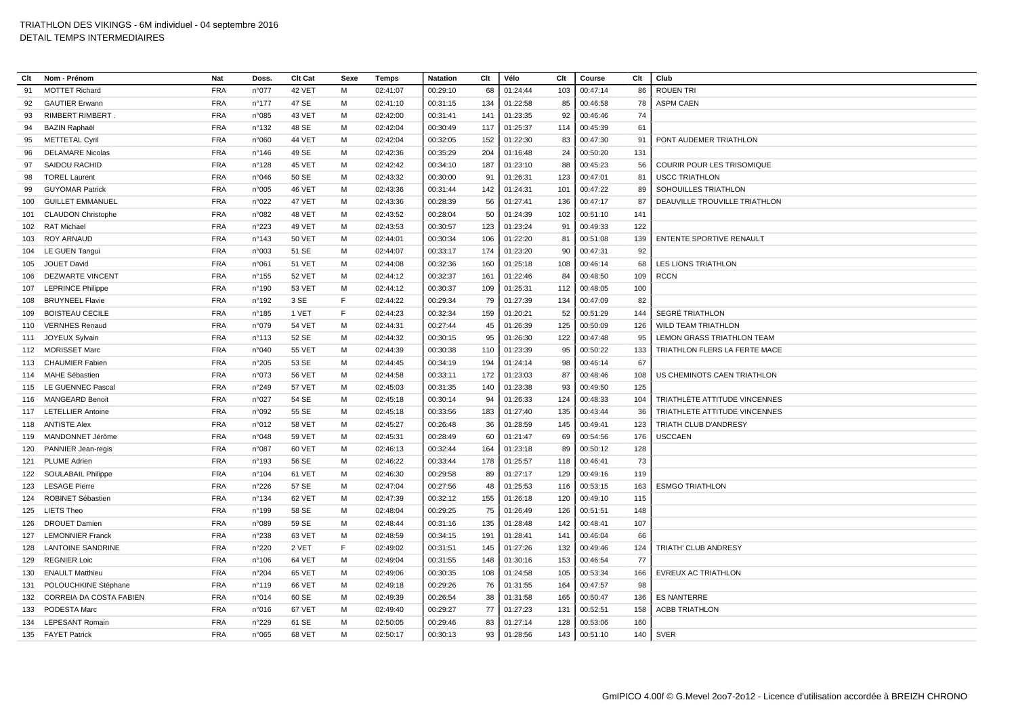| Clt | Nom - Prénom                   | <b>Nat</b> | Doss.           | Clt Cat       | Sexe | Temps    | <b>Natation</b> | Clt | Vélo     | Clt | Course   | Clt | Club                            |
|-----|--------------------------------|------------|-----------------|---------------|------|----------|-----------------|-----|----------|-----|----------|-----|---------------------------------|
| 91  | <b>MOTTET Richard</b>          | <b>FRA</b> | n°077           | 42 VET        | M    | 02:41:07 | 00:29:10        | 68  | 01:24:44 | 103 | 00:47:14 | 86  | <b>ROUEN TRI</b>                |
| 92  | <b>GAUTIER Erwann</b>          | <b>FRA</b> | $n^{\circ}$ 177 | 47 SE         | M    | 02:41:10 | 00:31:15        | 134 | 01:22:58 | 85  | 00:46:58 | 78  | <b>ASPM CAEN</b>                |
| 93  | RIMBERT RIMBERT.               | <b>FRA</b> | n°085           | 43 VET        | м    | 02:42:00 | 00:31:41        | 141 | 01:23:35 | 92  | 00:46:46 | 74  |                                 |
| 94  | <b>BAZIN Raphaël</b>           | <b>FRA</b> | $n^{\circ}$ 132 | 48 SE         | M    | 02:42:04 | 00:30:49        | 117 | 01:25:37 | 114 | 00:45:39 | 61  |                                 |
| 95  | <b>METTETAL Cyril</b>          | <b>FRA</b> | n°060           | <b>44 VET</b> | м    | 02:42:04 | 00:32:05        | 152 | 01:22:30 | 83  | 00:47:30 | 91  | PONT AUDEMER TRIATHLON          |
| 96  | <b>DELAMARE Nicolas</b>        | <b>FRA</b> | $n^{\circ}$ 146 | 49 SE         | м    | 02:42:36 | 00:35:29        | 204 | 01:16:48 | 24  | 00:50:20 | 131 |                                 |
| 97  | <b>SAIDOU RACHID</b>           | <b>FRA</b> | n°128           | 45 VET        | M    | 02:42:42 | 00:34:10        | 187 | 01:23:10 | 88  | 00:45:23 | 56  | COURIR POUR LES TRISOMIQUE      |
| 98  | <b>TOREL Laurent</b>           | <b>FRA</b> | n°046           | 50 SE         | M    | 02:43:32 | 00:30:00        | 91  | 01:26:31 | 123 | 00:47:01 | 81  | <b>USCC TRIATHLON</b>           |
| 99  | <b>GUYOMAR Patrick</b>         | <b>FRA</b> | n°005           | 46 VET        | M    | 02:43:36 | 00:31:44        | 142 | 01:24:31 | 101 | 00:47:22 | 89  | SOHOUILLES TRIATHLON            |
| 100 | <b>GUILLET EMMANUEL</b>        | <b>FRA</b> | n°022           | 47 VET        | м    | 02:43:36 | 00:28:39        | 56  | 01:27:41 | 136 | 00:47:17 | 87  | DEAUVILLE TROUVILLE TRIATHLON   |
| 101 | <b>CLAUDON Christophe</b>      | <b>FRA</b> | n°082           | 48 VET        | м    | 02:43:52 | 00:28:04        | 50  | 01:24:39 | 102 | 00:51:10 | 141 |                                 |
| 102 | <b>RAT Michael</b>             | <b>FRA</b> | n°223           | 49 VET        | м    | 02:43:53 | 00:30:57        | 123 | 01:23:24 | 91  | 00:49:33 | 122 |                                 |
| 103 | <b>ROY ARNAUD</b>              | <b>FRA</b> | n°143           | <b>50 VET</b> | M    | 02:44:01 | 00:30:34        | 106 | 01:22:20 | 81  | 00:51:08 | 139 | <b>ENTENTE SPORTIVE RENAULT</b> |
| 104 | LE GUEN Tangui                 | <b>FRA</b> | n°003           | 51 SE         | м    | 02:44:07 | 00:33:17        | 174 | 01:23:20 | 90  | 00:47:31 | 92  |                                 |
| 105 | JOUET David                    | <b>FRA</b> | n°061           | 51 VET        | м    | 02:44:08 | 00:32:36        | 160 | 01:25:18 | 108 | 00:46:14 | 68  | <b>LES LIONS TRIATHLON</b>      |
| 106 | <b>DEZWARTE VINCENT</b>        | <b>FRA</b> | $n^{\circ}$ 155 | <b>52 VET</b> | M    | 02:44:12 | 00:32:37        | 161 | 01:22:46 | 84  | 00:48:50 | 109 | <b>RCCN</b>                     |
| 107 | <b>LEPRINCE Philippe</b>       | <b>FRA</b> | n°190           | 53 VET        | M    | 02:44:12 | 00:30:37        | 109 | 01:25:31 | 112 | 00:48:05 | 100 |                                 |
| 108 | <b>BRUYNEEL Flavie</b>         | <b>FRA</b> | n°192           | 3 SE          | E    | 02:44:22 | 00:29:34        | 79  | 01:27:39 | 134 | 00:47:09 | 82  |                                 |
| 109 | <b>BOISTEAU CECILE</b>         | <b>FRA</b> | n°185           | 1 VET         | E    | 02:44:23 | 00:32:34        | 159 | 01:20:21 | 52  | 00:51:29 | 144 | SEGRÉ TRIATHLON                 |
| 110 | <b>VERNHES Renaud</b>          | <b>FRA</b> | n°079           | <b>54 VET</b> | м    | 02:44:31 | 00:27:44        | 45  | 01:26:39 | 125 | 00:50:09 | 126 | <b>WILD TEAM TRIATHLON</b>      |
| 111 | JOYEUX Sylvain                 | <b>FRA</b> | $n^{\circ}113$  | 52 SE         | м    | 02:44:32 | 00:30:15        | 95  | 01:26:30 | 122 | 00:47:48 | 95  | LEMON GRASS TRIATHLON TEAM      |
| 112 | <b>MORISSET Marc</b>           | <b>FRA</b> | n°040           | <b>55 VET</b> | M    | 02:44:39 | 00:30:38        | 110 | 01:23:39 | 95  | 00:50:22 | 133 | TRIATHLON FLERS LA FERTE MACE   |
|     | 113 CHAUMIER Fabien            | <b>FRA</b> | n°205           | 53 SE         | м    | 02:44:45 | 00:34:19        | 194 | 01:24:14 | 98  | 00:46:14 | 67  |                                 |
| 114 | <b>MAHE Sébastien</b>          | <b>FRA</b> | n°073           | <b>56 VET</b> | M    | 02:44:58 | 00:33:11        | 172 | 01:23:03 | 87  | 00:48:46 | 108 | US CHEMINOTS CAEN TRIATHLON     |
| 115 | <b>LE GUENNEC Pascal</b>       | <b>FRA</b> | n°249           | 57 VET        | M    | 02:45:03 | 00:31:35        | 140 | 01:23:38 | 93  | 00:49:50 | 125 |                                 |
| 116 | <b>MANGEARD Benoit</b>         | <b>FRA</b> | n°027           | 54 SE         | M    | 02:45:18 | 00:30:14        | 94  | 01:26:33 | 124 | 00:48:33 | 104 | TRIATHLÈTE ATTITUDE VINCENNES   |
| 117 | <b>LETELLIER Antoine</b>       | <b>FRA</b> | n°092           | 55 SE         | м    | 02:45:18 | 00:33:56        | 183 | 01:27:40 | 135 | 00:43:44 | 36  | TRIATHLETE ATTITUDE VINCENNES   |
|     | 118 ANTISTE Alex               | <b>FRA</b> | n°012           | <b>58 VET</b> | M    | 02:45:27 | 00:26:48        | 36  | 01:28:59 | 145 | 00:49:41 | 123 | TRIATH CLUB D'ANDRESY           |
| 119 | MANDONNET Jérôme               | <b>FRA</b> | n°048           | <b>59 VET</b> | м    | 02:45:31 | 00:28:49        | 60  | 01:21:47 | 69  | 00:54:56 | 176 | <b>USCCAEN</b>                  |
| 120 | PANNIER Jean-regis             | <b>FRA</b> | n°087           | 60 VET        | M    | 02:46:13 | 00:32:44        | 164 | 01:23:18 | 89  | 00:50:12 | 128 |                                 |
| 121 | PLUME Adrien                   | <b>FRA</b> | n°193           | 56 SE         | м    | 02:46:22 | 00:33:44        | 178 | 01:25:57 | 118 | 00:46:41 | 73  |                                 |
|     | 122 SOULABAIL Philippe         | <b>FRA</b> | n°104           | 61 VET        | м    | 02:46:30 | 00:29:58        | 89  | 01:27:17 | 129 | 00:49:16 | 119 |                                 |
| 123 | <b>LESAGE Pierre</b>           | <b>FRA</b> | n°226           | 57 SE         | M    | 02:47:04 | 00:27:56        | 48  | 01:25:53 | 116 | 00:53:15 | 163 | <b>ESMGO TRIATHLON</b>          |
| 124 | ROBINET Sébastien              | <b>FRA</b> | $n^{\circ}$ 134 | 62 VET        | м    | 02:47:39 | 00:32:12        | 155 | 01:26:18 | 120 | 00:49:10 | 115 |                                 |
|     | 125 LIETS Theo                 | <b>FRA</b> | n°199           | 58 SE         | M    | 02:48:04 | 00:29:25        | 75  | 01:26:49 | 126 | 00:51:51 | 148 |                                 |
| 126 | <b>DROUET Damien</b>           | <b>FRA</b> | n°089           | 59 SE         | м    | 02:48:44 | 00:31:16        | 135 | 01:28:48 | 142 | 00:48:41 | 107 |                                 |
| 127 | <b>LEMONNIER Franck</b>        | <b>FRA</b> | n°238           | 63 VET        | M    | 02:48:59 | 00:34:15        | 191 | 01:28:41 | 141 | 00:46:04 | 66  |                                 |
| 128 | <b>LANTOINE SANDRINE</b>       | <b>FRA</b> | n°220           | 2 VET         | F    | 02:49:02 | 00:31:51        | 145 | 01:27:26 | 132 | 00:49:46 | 124 | TRIATH' CLUB ANDRESY            |
| 129 | <b>REGNIER Loic</b>            | <b>FRA</b> | $n^{\circ}106$  | 64 VET        | M    | 02:49:04 | 00:31:55        | 148 | 01:30:16 | 153 | 00:46:54 | 77  |                                 |
| 130 | <b>ENAULT Matthieu</b>         | <b>FRA</b> | n°204           | 65 VET        | м    | 02:49:06 | 00:30:35        | 108 | 01:24:58 | 105 | 00:53:34 | 166 | EVREUX AC TRIATHLON             |
| 131 | POLOUCHKINE Stéphane           | <b>FRA</b> | n°119           | 66 VET        | M    | 02:49:18 | 00:29:26        | 76  | 01:31:55 | 164 | 00:47:57 | 98  |                                 |
| 132 | <b>CORREIA DA COSTA FABIEN</b> | <b>FRA</b> | n°014           | 60 SE         | м    | 02:49:39 | 00:26:54        | 38  | 01:31:58 | 165 | 00:50:47 | 136 | <b>ES NANTERRE</b>              |
| 133 | PODESTA Marc                   | <b>FRA</b> | n°016           | 67 VET        | м    | 02:49:40 | 00:29:27        | 77  | 01:27:23 | 131 | 00:52:51 | 158 | <b>ACBB TRIATHLON</b>           |
| 134 | <b>LEPESANT Romair</b>         | <b>FRA</b> | n°229           | 61 SE         | M    | 02:50:05 | 00:29:46        | 83  | 01:27:14 | 128 | 00:53:06 | 160 |                                 |
|     | 135 FAYET Patrick              | <b>FRA</b> | n°065           | 68 VET        | M    | 02:50:17 | 00:30:13        | 93  | 01:28:56 | 143 | 00:51:10 | 140 | <b>SVER</b>                     |
|     |                                |            |                 |               |      |          |                 |     |          |     |          |     |                                 |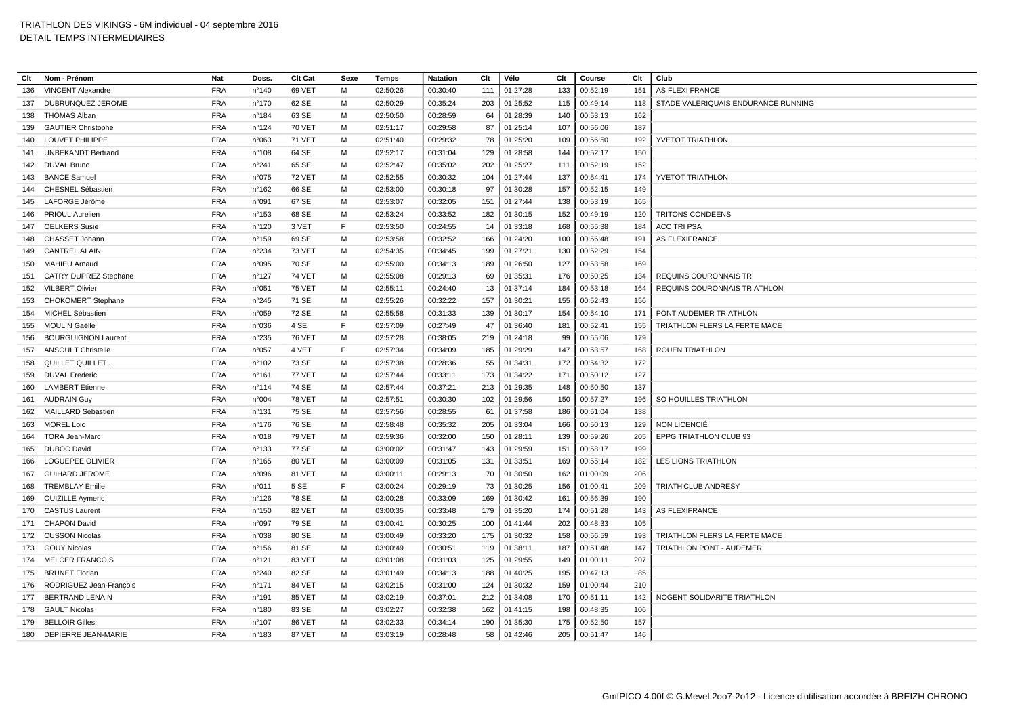| Clt | Nom - Prénom                 | <b>Nat</b> | Doss.           | Clt Cat       | Sexe | Temps    | <b>Natation</b> | Clt | Vélo     | Clt | Course   | Clt | Club                                |
|-----|------------------------------|------------|-----------------|---------------|------|----------|-----------------|-----|----------|-----|----------|-----|-------------------------------------|
| 136 | <b>VINCENT Alexandre</b>     | <b>FRA</b> | n°140           | 69 VET        | M    | 02:50:26 | 00:30:40        | 111 | 01:27:28 | 133 | 00:52:19 | 151 | AS FLEXI FRANCE                     |
| 137 | DUBRUNQUEZ JEROME            | <b>FRA</b> | $n^{\circ}170$  | 62 SE         | м    | 02:50:29 | 00:35:24        | 203 | 01:25:52 | 115 | 00:49:14 | 118 | STADE VALERIQUAIS ENDURANCE RUNNING |
| 138 | <b>THOMAS Alban</b>          | <b>FRA</b> | n°184           | 63 SE         | м    | 02:50:50 | 00:28:59        | 64  | 01:28:39 | 140 | 00:53:13 | 162 |                                     |
| 139 | <b>GAUTIER Christophe</b>    | <b>FRA</b> | n°124           | <b>70 VET</b> | M    | 02:51:17 | 00:29:58        | 87  | 01:25:14 | 107 | 00:56:06 | 187 |                                     |
| 140 | <b>LOUVET PHILIPPE</b>       | <b>FRA</b> | n°063           | <b>71 VET</b> | м    | 02:51:40 | 00:29:32        | 78  | 01:25:20 | 109 | 00:56:50 | 192 | YVETOT TRIATHLON                    |
| 141 | <b>UNBEKANDT Bertrand</b>    | <b>FRA</b> | n°108           | 64 SE         | м    | 02:52:17 | 00:31:04        | 129 | 01:28:58 | 144 | 00:52:17 | 150 |                                     |
| 142 | <b>DUVAL Bruno</b>           | <b>FRA</b> | n°241           | 65 SE         | M    | 02:52:47 | 00:35:02        | 202 | 01:25:27 | 111 | 00:52:19 | 152 |                                     |
| 143 | <b>BANCE Samuel</b>          | <b>FRA</b> | n°075           | <b>72 VET</b> | м    | 02:52:55 | 00:30:32        | 104 | 01:27:44 | 137 | 00:54:41 | 174 | YVETOT TRIATHLON                    |
| 144 | CHESNEL Sébastien            | <b>FRA</b> | n°162           | 66 SE         | M    | 02:53:00 | 00:30:18        | 97  | 01:30:28 | 157 | 00:52:15 | 149 |                                     |
|     | 145 LAFORGE Jérôme           | <b>FRA</b> | n°091           | 67 SE         | м    | 02:53:07 | 00:32:05        | 151 | 01:27:44 | 138 | 00:53:19 | 165 |                                     |
| 146 | <b>PRIOUL Aurelien</b>       | <b>FRA</b> | $n^{\circ}$ 153 | 68 SE         | м    | 02:53:24 | 00:33:52        | 182 | 01:30:15 | 152 | 00:49:19 | 120 | <b>TRITONS CONDEENS</b>             |
| 147 | <b>OELKERS</b> Susie         | <b>FRA</b> | n°120           | 3 VET         | E    | 02:53:50 | 00:24:55        | 14  | 01:33:18 | 168 | 00:55:38 | 184 | <b>ACC TRI PSA</b>                  |
| 148 | CHASSET Johann               | <b>FRA</b> | $n^{\circ}$ 159 | 69 SE         | M    | 02:53:58 | 00:32:52        | 166 | 01:24:20 | 100 | 00:56:48 | 191 | <b>AS FLEXIFRANCE</b>               |
| 149 | <b>CANTREL ALAIN</b>         | <b>FRA</b> | n°234           | <b>73 VET</b> | M    | 02:54:35 | 00:34:45        | 199 | 01:27:21 | 130 | 00:52:29 | 154 |                                     |
| 150 | <b>MAHIEU Arnaud</b>         | <b>FRA</b> | n°095           | 70 SE         | м    | 02:55:00 | 00:34:13        | 189 | 01:26:50 | 127 | 00:53:58 | 169 |                                     |
| 151 | <b>CATRY DUPREZ Stephane</b> | <b>FRA</b> | n°127           | <b>74 VET</b> | M    | 02:55:08 | 00:29:13        | 69  | 01:35:31 | 176 | 00:50:25 | 134 | <b>REQUINS COURONNAIS TRI</b>       |
| 152 | <b>VILBERT Olivier</b>       | <b>FRA</b> | n°051           | <b>75 VET</b> | м    | 02:55:11 | 00:24:40        | 13  | 01:37:14 | 184 | 00:53:18 | 164 | REQUINS COURONNAIS TRIATHLON        |
| 153 | <b>CHOKOMERT Stephane</b>    | <b>FRA</b> | n°245           | 71 SE         | м    | 02:55:26 | 00:32:22        | 157 | 01:30:21 | 155 | 00:52:43 | 156 |                                     |
| 154 | MICHEL Sébastien             | <b>FRA</b> | n°059           | 72 SE         | м    | 02:55:58 | 00:31:33        | 139 | 01:30:17 | 154 | 00:54:10 | 171 | PONT AUDEMER TRIATHLON              |
| 155 | <b>MOULIN Gaëlle</b>         | <b>FRA</b> | n°036           | 4 SE          | F    | 02:57:09 | 00:27:49        | 47  | 01:36:40 | 181 | 00:52:41 | 155 | TRIATHLON FLERS LA FERTE MACE       |
| 156 | <b>BOURGUIGNON Laurent</b>   | <b>FRA</b> | n°235           | <b>76 VET</b> | M    | 02:57:28 | 00:38:05        | 219 | 01:24:18 | 99  | 00:55:06 | 179 |                                     |
| 157 | <b>ANSOULT Christelle</b>    | <b>FRA</b> | n°057           | 4 VET         | F    | 02:57:34 | 00:34:09        | 185 | 01:29:29 | 147 | 00:53:57 | 168 | <b>ROUEN TRIATHLON</b>              |
| 158 | QUILLET QUILLET.             | <b>FRA</b> | $n^{\circ}102$  | 73 SE         | M    | 02:57:38 | 00:28:36        | 55  | 01:34:31 | 172 | 00:54:32 | 172 |                                     |
| 159 | <b>DUVAL Frederic</b>        | <b>FRA</b> | $n^{\circ}161$  | <b>77 VET</b> | м    | 02:57:44 | 00:33:11        | 173 | 01:34:22 | 171 | 00:50:12 | 127 |                                     |
| 160 | <b>LAMBERT</b> Etienne       | <b>FRA</b> | $n^{\circ}$ 114 | 74 SE         | M    | 02:57:44 | 00:37:21        | 213 | 01:29:35 | 148 | 00:50:50 | 137 |                                     |
| 161 | <b>AUDRAIN Guy</b>           | <b>FRA</b> | n°004           | <b>78 VET</b> | м    | 02:57:51 | 00:30:30        | 102 | 01:29:56 | 150 | 00:57:27 | 196 | SO HOUILLES TRIATHLON               |
| 162 | MAILLARD Sébastien           | <b>FRA</b> | $n^{\circ}$ 131 | 75 SE         | м    | 02:57:56 | 00:28:55        | 61  | 01:37:58 | 186 | 00:51:04 | 138 |                                     |
| 163 | <b>MOREL Loic</b>            | <b>FRA</b> | $n^{\circ}$ 176 | 76 SE         | м    | 02:58:48 | 00:35:32        | 205 | 01:33:04 | 166 | 00:50:13 | 129 | NON LICENCIÉ                        |
| 164 | <b>TORA Jean-Marc</b>        | <b>FRA</b> | n°018           | <b>79 VET</b> | м    | 02:59:36 | 00:32:00        | 150 | 01:28:11 | 139 | 00:59:26 | 205 | EPPG TRIATHLON CLUB 93              |
| 165 | <b>DUBOC David</b>           | <b>FRA</b> | n°133           | 77 SE         | M    | 03:00:02 | 00:31:47        | 143 | 01:29:59 | 151 | 00:58:17 | 199 |                                     |
| 166 | LOGUEPEE OLIVIER             | <b>FRA</b> | $n^{\circ}165$  | 80 VET        | м    | 03:00:09 | 00:31:05        | 131 | 01:33:51 | 169 | 00:55:14 | 182 | <b>LES LIONS TRIATHLON</b>          |
| 167 | <b>GUIHARD JEROME</b>        | <b>FRA</b> | n°096           | 81 VET        | M    | 03:00:11 | 00:29:13        | 70  | 01:30:50 | 162 | 01:00:09 | 206 |                                     |
| 168 | <b>TREMBLAY Emilie</b>       | <b>FRA</b> | n°011           | 5 SE          | F    | 03:00:24 | 00:29:19        | 73  | 01:30:25 | 156 | 01:00:41 | 209 | TRIATH'CLUB ANDRESY                 |
| 169 | <b>OUIZILLE Aymeric</b>      | <b>FRA</b> | n°126           | 78 SE         | м    | 03:00:28 | 00:33:09        | 169 | 01:30:42 | 161 | 00:56:39 | 190 |                                     |
|     | 170 CASTUS Laurent           | <b>FRA</b> | n°150           | 82 VET        | м    | 03:00:35 | 00:33:48        | 179 | 01:35:20 | 174 | 00:51:28 | 143 | <b>AS FLEXIFRANCE</b>               |
| 171 | <b>CHAPON David</b>          | <b>FRA</b> | n°097           | 79 SE         | м    | 03:00:41 | 00:30:25        | 100 | 01:41:44 | 202 | 00:48:33 | 105 |                                     |
|     | 172 CUSSON Nicolas           | <b>FRA</b> | n°038           | 80 SE         | м    | 03:00:49 | 00:33:20        | 175 | 01:30:32 | 158 | 00:56:59 | 193 | TRIATHLON FLERS LA FERTE MACE       |
| 173 | <b>GOUY Nicolas</b>          | <b>FRA</b> | $n^{\circ}$ 156 | 81 SE         | м    | 03:00:49 | 00:30:51        | 119 | 01:38:11 | 187 | 00:51:48 | 147 | TRIATHLON PONT - AUDEMER            |
| 174 | <b>MELCER FRANCOIS</b>       | <b>FRA</b> | n°121           | 83 VET        | M    | 03:01:08 | 00:31:03        | 125 | 01:29:55 | 149 | 01:00:11 | 207 |                                     |
| 175 | <b>BRUNET Florian</b>        | <b>FRA</b> | n°240           | 82 SE         | м    | 03:01:49 | 00:34:13        | 188 | 01:40:25 | 195 | 00:47:13 | 85  |                                     |
| 176 | RODRIGUEZ Jean-François      | <b>FRA</b> | $n^{\circ}$ 171 | 84 VET        | м    | 03:02:15 | 00:31:00        | 124 | 01:30:32 | 159 | 01:00:44 | 210 |                                     |
| 177 | <b>BERTRAND LENAIN</b>       | <b>FRA</b> | n°191           | 85 VET        | м    | 03:02:19 | 00:37:01        | 212 | 01:34:08 | 170 | 00:51:11 | 142 | NOGENT SOLIDARITE TRIATHLON         |
| 178 | <b>GAULT Nicolas</b>         | <b>FRA</b> | $n^{\circ}$ 180 | 83 SE         | м    | 03:02:27 | 00:32:38        | 162 | 01:41:15 | 198 | 00:48:35 | 106 |                                     |
| 179 | <b>BELLOIR Gilles</b>        | <b>FRA</b> | $n^{\circ}107$  | 86 VET        | M    | 03:02:33 | 00:34:14        | 190 | 01:35:30 | 175 | 00:52:50 | 157 |                                     |
|     | 180 DEPIERRE JEAN-MARIE      | <b>FRA</b> | n°183           | 87 VET        | м    | 03:03:19 | 00:28:48        | 58  | 01:42:46 | 205 | 00:51:47 | 146 |                                     |
|     |                              |            |                 |               |      |          |                 |     |          |     |          |     |                                     |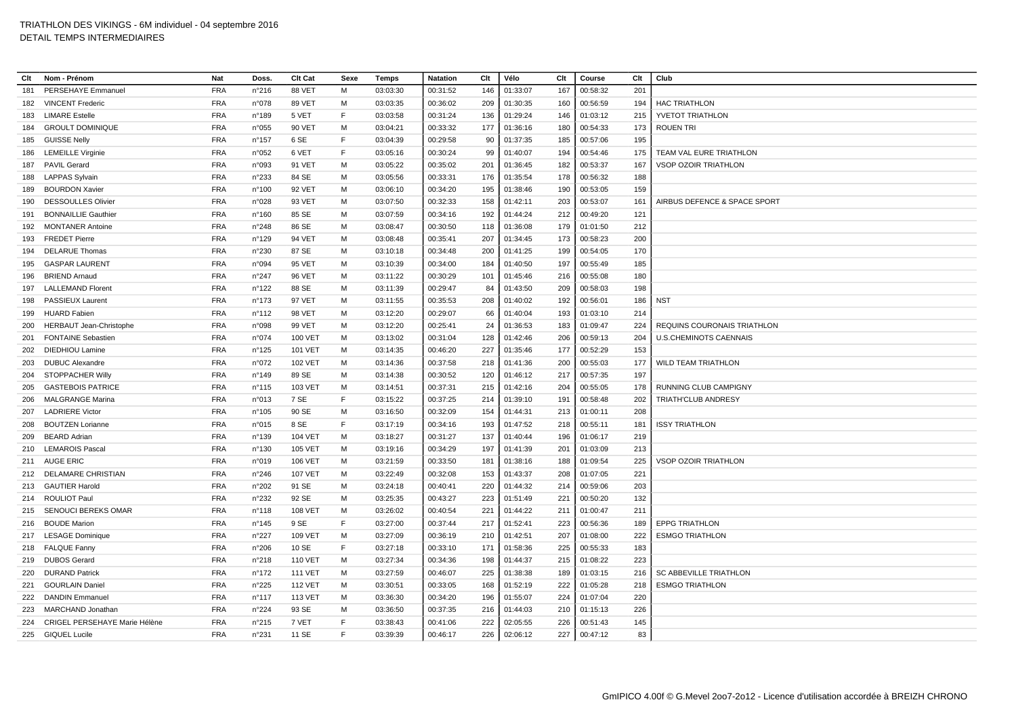| Clt | Nom - Prénom                   | Nat        | Doss.           | Clt Cat        | Sexe | <b>Temps</b> | <b>Natation</b> | Clt | Vélo     | Clt | Course   | Clt | Club                          |
|-----|--------------------------------|------------|-----------------|----------------|------|--------------|-----------------|-----|----------|-----|----------|-----|-------------------------------|
| 181 | PERSEHAYE Emmanuel             | <b>FRA</b> | n°216           | 88 VET         | М    | 03:03:30     | 00:31:52        | 146 | 01:33:07 | 167 | 00:58:32 | 201 |                               |
| 182 | <b>VINCENT Frederic</b>        | <b>FRA</b> | n°078           | 89 VET         | м    | 03:03:35     | 00:36:02        | 209 | 01:30:35 | 160 | 00:56:59 | 194 | <b>HAC TRIATHLON</b>          |
| 183 | <b>LIMARE Estelle</b>          | <b>FRA</b> | n°189           | 5 VET          | F    | 03:03:58     | 00:31:24        | 136 | 01:29:24 | 146 | 01:03:12 | 215 | YVETOT TRIATHLON              |
| 184 | <b>GROULT DOMINIQUE</b>        | <b>FRA</b> | n°055           | <b>90 VET</b>  | M    | 03:04:21     | 00:33:32        | 177 | 01:36:16 | 180 | 00:54:33 | 173 | <b>ROUEN TRI</b>              |
| 185 | <b>GUISSE Nelly</b>            | <b>FRA</b> | n°157           | 6 SE           | F    | 03:04:39     | 00:29:58        | 90  | 01:37:35 | 185 | 00:57:06 | 195 |                               |
| 186 | <b>LEMEILLE Virginie</b>       | <b>FRA</b> | n°052           | 6 VET          | F    | 03:05:16     | 00:30:24        | 99  | 01:40:07 | 194 | 00:54:46 | 175 | TEAM VAL EURE TRIATHLON       |
| 187 | <b>PAVIL Gerard</b>            | <b>FRA</b> | n°093           | 91 VET         | M    | 03:05:22     | 00:35:02        | 201 | 01:36:45 | 182 | 00:53:37 | 167 | <b>VSOP OZOIR TRIATHLON</b>   |
| 188 | <b>LAPPAS Sylvain</b>          | <b>FRA</b> | n°233           | 84 SE          | м    | 03:05:56     | 00:33:31        | 176 | 01:35:54 | 178 | 00:56:32 | 188 |                               |
| 189 | <b>BOURDON Xavier</b>          | <b>FRA</b> | n°100           | <b>92 VET</b>  | м    | 03:06:10     | 00:34:20        | 195 | 01:38:46 | 190 | 00:53:05 | 159 |                               |
| 190 | <b>DESSOULLES Olivier</b>      | <b>FRA</b> | n°028           | 93 VET         | м    | 03:07:50     | 00:32:33        | 158 | 01:42:11 | 203 | 00:53:07 | 161 | AIRBUS DEFENCE & SPACE SPORT  |
| 191 | <b>BONNAILLIE Gauthier</b>     | <b>FRA</b> | n°160           | 85 SE          | м    | 03:07:59     | 00:34:16        | 192 | 01:44:24 | 212 | 00:49:20 | 121 |                               |
| 192 | <b>MONTANER Antoine</b>        | <b>FRA</b> | n°248           | 86 SE          | M    | 03:08:47     | 00:30:50        | 118 | 01:36:08 | 179 | 01:01:50 | 212 |                               |
| 193 | <b>FREDET Pierre</b>           | <b>FRA</b> | n°129           | 94 VET         | м    | 03:08:48     | 00:35:41        | 207 | 01:34:45 | 173 | 00:58:23 | 200 |                               |
| 194 | <b>DELARUE Thomas</b>          | <b>FRA</b> | n°230           | 87 SE          | м    | 03:10:18     | 00:34:48        | 200 | 01:41:25 | 199 | 00:54:05 | 170 |                               |
| 195 | <b>GASPAR LAURENT</b>          | <b>FRA</b> | n°094           | <b>95 VET</b>  | м    | 03:10:39     | 00:34:00        | 184 | 01:40:50 | 197 | 00:55:49 | 185 |                               |
| 196 | <b>BRIEND Arnaud</b>           | <b>FRA</b> | n°247           | <b>96 VET</b>  | м    | 03:11:22     | 00:30:29        | 101 | 01:45:46 | 216 | 00:55:08 | 180 |                               |
| 197 | <b>LALLEMAND Florent</b>       | <b>FRA</b> | n°122           | 88 SE          | M    | 03:11:39     | 00:29:47        | 84  | 01:43:50 | 209 | 00:58:03 | 198 |                               |
| 198 | PASSIEUX Laurent               | <b>FRA</b> | $n^{\circ}$ 173 | 97 VET         | м    | 03:11:55     | 00:35:53        | 208 | 01:40:02 | 192 | 00:56:01 | 186 | <b>NST</b>                    |
| 199 | <b>HUARD Fabien</b>            | <b>FRA</b> | $n^{\circ}112$  | 98 VET         | M    | 03:12:20     | 00:29:07        | 66  | 01:40:04 | 193 | 01:03:10 | 214 |                               |
| 200 | <b>HERBAUT Jean-Christophe</b> | <b>FRA</b> | n°098           | 99 VET         | м    | 03:12:20     | 00:25:41        | 24  | 01:36:53 | 183 | 01:09:47 | 224 | REQUINS COURONAIS TRIATHLON   |
| 201 | <b>FONTAINE Sebastien</b>      | <b>FRA</b> | n°074           | 100 VET        | M    | 03:13:02     | 00:31:04        | 128 | 01:42:46 | 206 | 00:59:13 | 204 | <b>U.S.CHEMINOTS CAENNAIS</b> |
| 202 | <b>DIEDHIOU Lamine</b>         | <b>FRA</b> | n°125           | <b>101 VET</b> | м    | 03:14:35     | 00:46:20        | 227 | 01:35:46 | 177 | 00:52:29 | 153 |                               |
| 203 | <b>DUBUC Alexandre</b>         | <b>FRA</b> | n°072           | <b>102 VET</b> | м    | 03:14:36     | 00:37:58        | 218 | 01:41:36 | 200 | 00:55:03 | 177 | <b>WILD TEAM TRIATHLON</b>    |
| 204 | <b>STOPPACHER Willy</b>        | <b>FRA</b> | n°149           | 89 SE          | M    | 03:14:38     | 00:30:52        | 120 | 01:46:12 | 217 | 00:57:35 | 197 |                               |
| 205 | <b>GASTEBOIS PATRICE</b>       | <b>FRA</b> | $n^{\circ}$ 115 | 103 VET        | М    | 03:14:51     | 00:37:31        | 215 | 01:42:16 | 204 | 00:55:05 | 178 | RUNNING CLUB CAMPIGNY         |
| 206 | <b>MALGRANGE Marina</b>        | <b>FRA</b> | n°013           | 7 SE           | F    | 03:15:22     | 00:37:25        | 214 | 01:39:10 | 191 | 00:58:48 | 202 | <b>TRIATH'CLUB ANDRESY</b>    |
| 207 | <b>LADRIERE Victor</b>         | <b>FRA</b> | $n^{\circ}105$  | 90 SE          | M    | 03:16:50     | 00:32:09        | 154 | 01:44:31 | 213 | 01:00:11 | 208 |                               |
| 208 | <b>BOUTZEN Lorianne</b>        | <b>FRA</b> | n°015           | 8 SE           | F    | 03:17:19     | 00:34:16        | 193 | 01:47:52 | 218 | 00:55:11 | 181 | <b>ISSY TRIATHLON</b>         |
| 209 | <b>BEARD Adrian</b>            | <b>FRA</b> | n°139           | 104 VET        | M    | 03:18:27     | 00:31:27        | 137 | 01:40:44 | 196 | 01:06:17 | 219 |                               |
|     | 210 LEMAROIS Pascal            | <b>FRA</b> | $n^{\circ}$ 130 | <b>105 VET</b> | м    | 03:19:16     | 00:34:29        | 197 | 01:41:39 | 201 | 01:03:09 | 213 |                               |
| 211 | AUGE ERIC                      | <b>FRA</b> | n°019           | <b>106 VET</b> | M    | 03:21:59     | 00:33:50        | 181 | 01:38:16 | 188 | 01:09:54 | 225 | <b>VSOP OZOIR TRIATHLON</b>   |
| 212 | DELAMARE CHRISTIAN             | <b>FRA</b> | n°246           | <b>107 VET</b> | м    | 03:22:49     | 00:32:08        | 153 | 01:43:37 | 208 | 01:07:05 | 221 |                               |
| 213 | <b>GAUTIER Harold</b>          | <b>FRA</b> | n°202           | 91 SE          | M    | 03:24:18     | 00:40:41        | 220 | 01:44:32 | 214 | 00:59:06 | 203 |                               |
| 214 | <b>ROULIOT Paul</b>            | <b>FRA</b> | n°232           | 92 SE          | M    | 03:25:35     | 00:43:27        | 223 | 01:51:49 | 221 | 00:50:20 | 132 |                               |
|     | 215 SENOUCI BEREKS OMAR        | <b>FRA</b> | $n^{\circ}$ 118 | 108 VET        | м    | 03:26:02     | 00:40:54        | 221 | 01:44:22 | 211 | 01:00:47 | 211 |                               |
| 216 | <b>BOUDE Marion</b>            | <b>FRA</b> | $n^{\circ}$ 145 | 9 SE           | E    | 03:27:00     | 00:37:44        | 217 | 01:52:41 | 223 | 00:56:36 | 189 | <b>EPPG TRIATHLON</b>         |
| 217 | <b>LESAGE Dominique</b>        | <b>FRA</b> | n°227           | 109 VET        | м    | 03:27:09     | 00:36:19        | 210 | 01:42:51 | 207 | 01:08:00 | 222 | <b>ESMGO TRIATHLON</b>        |
|     | 218 FALQUE Fanny               | <b>FRA</b> | n°206           | 10 SE          | F    | 03:27:18     | 00:33:10        | 171 | 01:58:36 | 225 | 00:55:33 | 183 |                               |
| 219 | <b>DUBOS Gerard</b>            | <b>FRA</b> | n°218           | <b>110 VET</b> | M    | 03:27:34     | 00:34:36        | 198 | 01:44:37 | 215 | 01:08:22 | 223 |                               |
| 220 | <b>DURAND Patrick</b>          | <b>FRA</b> | $n^{\circ}$ 172 | <b>111 VET</b> | м    | 03:27:59     | 00:46:07        | 225 | 01:38:38 | 189 | 01:03:15 | 216 | <b>SC ABBEVILLE TRIATHLON</b> |
| 221 | <b>GOURLAIN Daniel</b>         | <b>FRA</b> | n°225           | <b>112 VET</b> | M    | 03:30:51     | 00:33:05        | 168 | 01:52:19 | 222 | 01:05:28 | 218 | <b>ESMGO TRIATHLON</b>        |
| 222 | <b>DANDIN Emmanuel</b>         | <b>FRA</b> | $n^{\circ}$ 117 | <b>113 VET</b> | м    | 03:36:30     | 00:34:20        | 196 | 01:55:07 | 224 | 01:07:04 | 220 |                               |
| 223 | MARCHAND Jonathan              | <b>FRA</b> | $n^{\circ}224$  | 93 SE          | м    | 03:36:50     | 00:37:35        | 216 | 01:44:03 | 210 | 01:15:13 | 226 |                               |
| 224 | CRIGEL PERSEHAYE Marie Hélène  | <b>FRA</b> | n°215           | 7 VET          | E    | 03:38:43     | 00:41:06        | 222 | 02:05:55 | 226 | 00:51:43 | 145 |                               |
|     | 225 GIQUEL Lucile              | <b>FRA</b> | n°231           | 11 SE          | F    | 03:39:39     | 00:46:17        | 226 | 02:06:12 | 227 | 00:47:12 | 83  |                               |
|     |                                |            |                 |                |      |              |                 |     |          |     |          |     |                               |